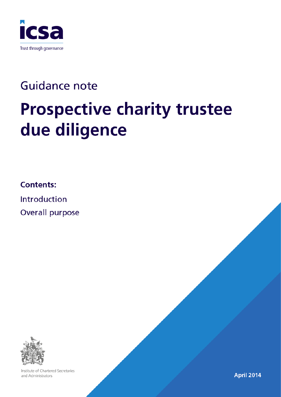

# **Guidance note Prospective charity trustee** due diligence

**Contents:** 

Introduction Overall purpose



Institute of Chartered Secretaries and Administrators

**April 2014**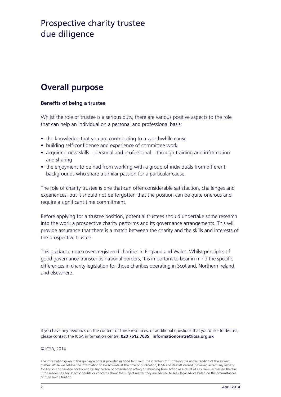## **Overall purpose**

#### **Benefits of being a trustee**

Whilst the role of trustee is a serious duty, there are various positive aspects to the role that can help an individual on a personal and professional basis:

- the knowledge that you are contributing to a worthwhile cause
- building self-confidence and experience of committee work
- acquiring new skills personal and professional through training and information and sharing
- the enjoyment to be had from working with a group of individuals from different backgrounds who share a similar passion for a particular cause.

The role of charity trustee is one that can offer considerable satisfaction, challenges and experiences, but it should not be forgotten that the position can be quite onerous and require a significant time commitment.

Before applying for a trustee position, potential trustees should undertake some research into the work a prospective charity performs and its governance arrangements. This will provide assurance that there is a match between the charity and the skills and interests of the prospective trustee.

This guidance note covers registered charities in England and Wales. Whilst principles of good governance transcends national borders, it is important to bear in mind the specific differences in charity legislation for those charities operating in Scotland, Northern Ireland, and elsewhere.

If you have any feedback on the content of these resources, or additional questions that you'd like to discuss, please contact the ICSA information centre: **020 7612 7035** | **informationcentre@icsa.org.uk**

#### © ICSA, 2014

The information given in this guidance note is provided in good faith with the intention of furthering the understanding of the subject matter. While we believe the information to be accurate at the time of publication, ICSA and its staff cannot, however, accept any liability for any loss or damage occasioned by any person or organisation acting or refraining from action as a result of any views expressed therein. If the reader has any specific doubts or concerns about the subject matter they are advised to seek legal advice based on the circumstances of their own situation.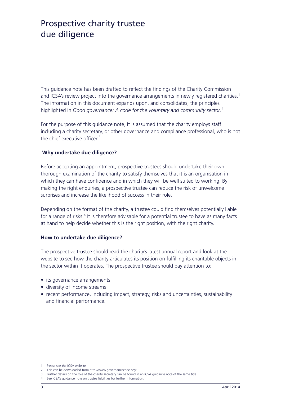This guidance note has been drafted to reflect the findings of the Charity Commission and ICSA's review project into the governance arrangements in newly registered charities.<sup>1</sup> The information in this document expands upon, and consolidates, the principles <sup>2</sup> highlighted in *Good governance: A code for the voluntary and community sector*.

For the purpose of this guidance note, it is assumed that the charity employs staff including a charity secretary, or other governance and compliance professional, who is not the chief executive officer $3$ 

#### **Why undertake due diligence?**

Before accepting an appointment, prospective trustees should undertake their own thorough examination of the charity to satisfy themselves that it is an organisation in which they can have confidence and in which they will be well suited to working. By making the right enquiries, a prospective trustee can reduce the risk of unwelcome surprises and increase the likelihood of success in their role.

Depending on the format of the charity, a trustee could find themselves potentially liable for a range of risks. $4$  It is therefore advisable for a potential trustee to have as many facts at hand to help decide whether this is the right position, with the right charity.

#### **How to undertake due diligence?**

The prospective trustee should read the charity's latest annual report and look at the website to see how the charity articulates its position on fulfilling its charitable objects in the sector within it operates. The prospective trustee should pay attention to:

- its governance arrangements
- diversity of income streams
- recent performance, including impact, strategy, risks and uncertainties, sustainability and financial performance.

Please see the ICSA website

<sup>2</sup> This can be downloaded from http://www.governancecode.org/

<sup>3</sup> Further details on the role of the charity secretary can be found in an ICSA guidance note of the same title.

<sup>4</sup> See ICSA's guidance note on trustee liabilities for further information.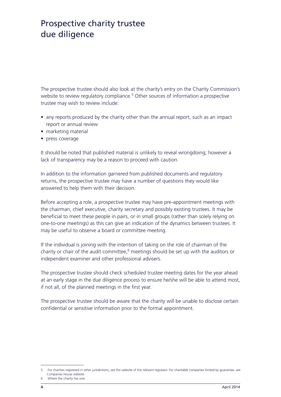The prospective trustee should also look at the charity's entry on the Charity Commission's website to review regulatory compliance.<sup>5</sup> Other sources of information a prospective trustee may wish to review include:

- any reports produced by the charity other than the annual report, such as an impact report or annual review
- marketing material
- press coverage

It should be noted that published material is unlikely to reveal wrongdoing; however a lack of transparency may be a reason to proceed with caution.

In addition to the information garnered from published documents and regulatory returns, the prospective trustee may have a number of questions they would like answered to help them with their decision.

Before accepting a role, a prospective trustee may have pre-appointment meetings with the chairman, chief executive, charity secretary and possibly existing trustees. It may be beneficial to meet these people in pairs, or in small groups (rather than solely relying on one-to-one meetings) as this can give an indication of the dynamics between trustees. It may be useful to observe a board or committee meeting.

If the individual is joining with the intention of taking on the role of chairman of the charity or chair of the audit committee, $6$  meetings should be set up with the auditors or independent examiner and other professional advisers.

The prospective trustee should check scheduled trustee meeting dates for the year ahead at an early stage in the due diligence process to ensure he/she will be able to attend most, if not all, of the planned meetings in the first year.

The prospective trustee should be aware that the charity will be unable to disclose certain confidential or sensitive information prior to the formal appointment.

 $\overline{5}$ For charities registered in other jurisdictions, see the website of the relevant regulator. For charitable companies limited by guarantee, see Companies House website. Where the charity has one.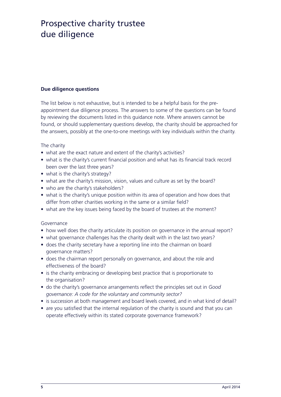#### **Due diligence questions**

The list below is not exhaustive, but is intended to be a helpful basis for the preappointment due diligence process. The answers to some of the questions can be found by reviewing the documents listed in this guidance note. Where answers cannot be found, or should supplementary questions develop, the charity should be approached for the answers, possibly at the one-to-one meetings with key individuals within the charity.

#### The charity

- what are the exact nature and extent of the charity's activities?
- what is the charity's current financial position and what has its financial track record been over the last three years?
- what is the charity's strategy?
- what are the charity's mission, vision, values and culture as set by the board?
- who are the charity's stakeholders?
- what is the charity's unique position within its area of operation and how does that differ from other charities working in the same or a similar field?
- what are the key issues being faced by the board of trustees at the moment?

#### Governance

- how well does the charity articulate its position on governance in the annual report?
- what governance challenges has the charity dealt with in the last two years?
- does the charity secretary have a reporting line into the chairman on board governance matters?
- does the chairman report personally on governance, and about the role and effectiveness of the board?
- is the charity embracing or developing best practice that is proportionate to the organisation?
- do the charity's governance arrangements reflect the principles set out in *Good governance: A code for the voluntary and community sector?*
- is succession at both management and board levels covered, and in what kind of detail?
- are you satisfied that the internal regulation of the charity is sound and that you can operate effectively within its stated corporate governance framework?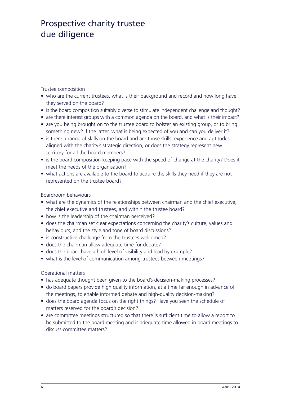Trustee composition

- who are the current trustees, what is their background and record and how long have they served on the board?
- is the board composition suitably diverse to stimulate independent challenge and thought?
- are there interest groups with a common agenda on the board, and what is their impact?
- are you being brought on to the trustee board to bolster an existing group, or to bring something new? If the latter, what is being expected of you and can you deliver it?
- is there a range of skills on the board and are those skills, experience and aptitudes aligned with the charity's strategic direction, or does the strategy represent new territory for all the board members?
- is the board composition keeping pace with the speed of change at the charity? Does it meet the needs of the organisation?
- what actions are available to the board to acquire the skills they need if they are not represented on the trustee board?

Boardroom behaviours

- what are the dynamics of the relationships between chairman and the chief executive, the chief executive and trustees, and within the trustee board?
- how is the leadership of the chairman perceived?
- does the chairman set clear expectations concerning the charity's culture, values and behaviours, and the style and tone of board discussions?
- is constructive challenge from the trustees welcomed?
- does the chairman allow adequate time for debate?
- does the board have a high level of visibility and lead by example?
- what is the level of communication among trustees between meetings?

#### Operational matters

- has adequate thought been given to the board's decision-making processes?
- do board papers provide high quality information, at a time far enough in advance of the meetings, to enable informed debate and high-quality decision-making?
- does the board agenda focus on the right things? Have you seen the schedule of matters reserved for the board's decision?
- are committee meetings structured so that there is sufficient time to allow a report to be submitted to the board meeting and is adequate time allowed in board meetings to discuss committee matters?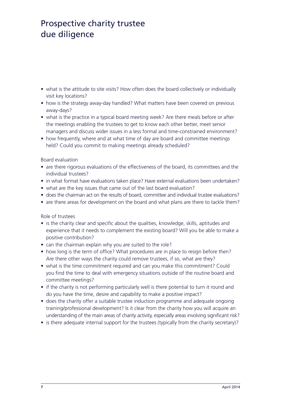- what is the attitude to site visits? How often does the board collectively or individually visit key locations?
- how is the strategy away-day handled? What matters have been covered on previous away-days?
- what is the practice in a typical board meeting week? Are there meals before or after the meetings enabling the trustees to get to know each other better, meet senior managers and discuss wider issues in a less formal and time-constrained environment?
- how frequently, where and at what time of day are board and committee meetings held? Could you commit to making meetings already scheduled?

Board evaluation

- are there rigorous evaluations of the effectiveness of the board, its committees and the individual trustees?
- in what format have evaluations taken place? Have external evaluations been undertaken?
- what are the key issues that came out of the last board evaluation?
- does the chairman act on the results of board, committee and individual trustee evaluations?
- are there areas for development on the board and what plans are there to tackle them?

Role of trustees

- is the charity clear and specific about the qualities, knowledge, skills, aptitudes and experience that it needs to complement the existing board? Will you be able to make a positive contribution?
- can the chairman explain why you are suited to the role?
- how long is the term of office? What procedures are in place to resign before then? Are there other ways the charity could remove trustees, if so, what are they?
- what is the time commitment required and can you make this commitment? Could you find the time to deal with emergency situations outside of the routine board and committee meetings?
- if the charity is not performing particularly well is there potential to turn it round and do you have the time, desire and capability to make a positive impact?
- does the charity offer a suitable trustee induction programme and adequate ongoing training/professional development? Is it clear from the charity how you will acquire an understanding of the main areas of charity activity, especially areas involving significant risk?
- is there adequate internal support for the trustees (typically from the charity secretary)?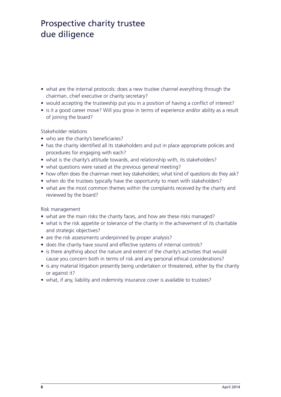- what are the internal protocols: does a new trustee channel everything through the chairman, chief executive or charity secretary?
- would accepting the trusteeship put you in a position of having a conflict of interest?
- is it a good career move? Will you grow in terms of experience and/or ability as a result of joining the board?

Stakeholder relations

- who are the charity's beneficiaries?
- has the charity identified all its stakeholders and put in place appropriate policies and procedures for engaging with each?
- what is the charity's attitude towards, and relationship with, its stakeholders?
- what questions were raised at the previous general meeting?
- how often does the chairman meet key stakeholders; what kind of questions do they ask?
- when do the trustees typically have the opportunity to meet with stakeholders?
- what are the most common themes within the complaints received by the charity and reviewed by the board?

Risk management

- what are the main risks the charity faces, and how are these risks managed?
- what is the risk appetite or tolerance of the charity in the achievement of its charitable and strategic objectives?
- are the risk assessments underpinned by proper analysis?
- does the charity have sound and effective systems of internal controls?
- is there anything about the nature and extent of the charity's activities that would cause you concern both in terms of risk and any personal ethical considerations?
- is any material litigation presently being undertaken or threatened, either by the charity or against it?
- what, if any, liability and indemnity insurance cover is available to trustees?